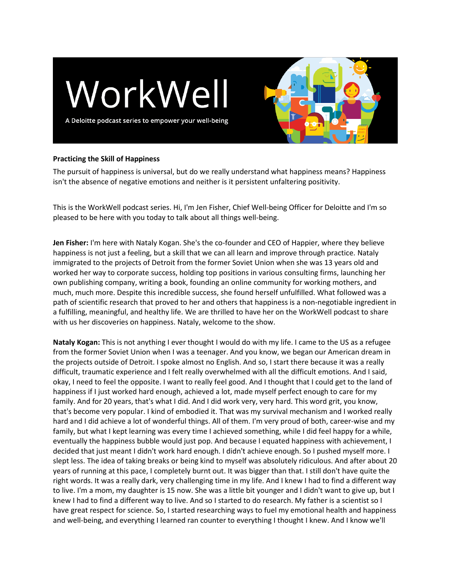



## **Practicing the Skill of Happiness**

The pursuit of happiness is universal, but do we really understand what happiness means? Happiness isn't the absence of negative emotions and neither is it persistent unfaltering positivity.

This is the WorkWell podcast series. Hi, I'm Jen Fisher, Chief Well-being Officer for Deloitte and I'm so pleased to be here with you today to talk about all things well-being.

**Jen Fisher:** I'm here with Nataly Kogan. She's the co-founder and CEO of Happier, where they believe happiness is not just a feeling, but a skill that we can all learn and improve through practice. Nataly immigrated to the projects of Detroit from the former Soviet Union when she was 13 years old and worked her way to corporate success, holding top positions in various consulting firms, launching her own publishing company, writing a book, founding an online community for working mothers, and much, much more. Despite this incredible success, she found herself unfulfilled. What followed was a path of scientific research that proved to her and others that happiness is a non-negotiable ingredient in a fulfilling, meaningful, and healthy life. We are thrilled to have her on the WorkWell podcast to share with us her discoveries on happiness. Nataly, welcome to the show.

**Nataly Kogan:** This is not anything I ever thought I would do with my life. I came to the US as a refugee from the former Soviet Union when I was a teenager. And you know, we began our American dream in the projects outside of Detroit. I spoke almost no English. And so, I start there because it was a really difficult, traumatic experience and I felt really overwhelmed with all the difficult emotions. And I said, okay, I need to feel the opposite. I want to really feel good. And I thought that I could get to the land of happiness if I just worked hard enough, achieved a lot, made myself perfect enough to care for my family. And for 20 years, that's what I did. And I did work very, very hard. This word grit, you know, that's become very popular. I kind of embodied it. That was my survival mechanism and I worked really hard and I did achieve a lot of wonderful things. All of them. I'm very proud of both, career-wise and my family, but what I kept learning was every time I achieved something, while I did feel happy for a while, eventually the happiness bubble would just pop. And because I equated happiness with achievement, I decided that just meant I didn't work hard enough. I didn't achieve enough. So I pushed myself more. I slept less. The idea of taking breaks or being kind to myself was absolutely ridiculous. And after about 20 years of running at this pace, I completely burnt out. It was bigger than that. I still don't have quite the right words. It was a really dark, very challenging time in my life. And I knew I had to find a different way to live. I'm a mom, my daughter is 15 now. She was a little bit younger and I didn't want to give up, but I knew I had to find a different way to live. And so I started to do research. My father is a scientist so I have great respect for science. So, I started researching ways to fuel my emotional health and happiness and well-being, and everything I learned ran counter to everything I thought I knew. And I know we'll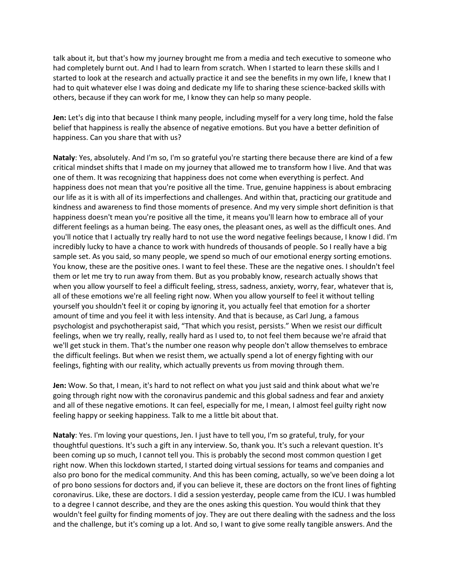talk about it, but that's how my journey brought me from a media and tech executive to someone who had completely burnt out. And I had to learn from scratch. When I started to learn these skills and I started to look at the research and actually practice it and see the benefits in my own life, I knew that I had to quit whatever else I was doing and dedicate my life to sharing these science-backed skills with others, because if they can work for me, I know they can help so many people.

**Jen:** Let's dig into that because I think many people, including myself for a very long time, hold the false belief that happiness is really the absence of negative emotions. But you have a better definition of happiness. Can you share that with us?

**Nataly**: Yes, absolutely. And I'm so, I'm so grateful you're starting there because there are kind of a few critical mindset shifts that I made on my journey that allowed me to transform how I live. And that was one of them. It was recognizing that happiness does not come when everything is perfect. And happiness does not mean that you're positive all the time. True, genuine happiness is about embracing our life as it is with all of its imperfections and challenges. And within that, practicing our gratitude and kindness and awareness to find those moments of presence. And my very simple short definition is that happiness doesn't mean you're positive all the time, it means you'll learn how to embrace all of your different feelings as a human being. The easy ones, the pleasant ones, as well as the difficult ones. And you'll notice that I actually try really hard to not use the word negative feelings because, I know I did. I'm incredibly lucky to have a chance to work with hundreds of thousands of people. So I really have a big sample set. As you said, so many people, we spend so much of our emotional energy sorting emotions. You know, these are the positive ones. I want to feel these. These are the negative ones. I shouldn't feel them or let me try to run away from them. But as you probably know, research actually shows that when you allow yourself to feel a difficult feeling, stress, sadness, anxiety, worry, fear, whatever that is, all of these emotions we're all feeling right now. When you allow yourself to feel it without telling yourself you shouldn't feel it or coping by ignoring it, you actually feel that emotion for a shorter amount of time and you feel it with less intensity. And that is because, as Carl Jung, a famous psychologist and psychotherapist said, "That which you resist, persists." When we resist our difficult feelings, when we try really, really, really hard as I used to, to not feel them because we're afraid that we'll get stuck in them. That's the number one reason why people don't allow themselves to embrace the difficult feelings. But when we resist them, we actually spend a lot of energy fighting with our feelings, fighting with our reality, which actually prevents us from moving through them.

**Jen:** Wow. So that, I mean, it's hard to not reflect on what you just said and think about what we're going through right now with the coronavirus pandemic and this global sadness and fear and anxiety and all of these negative emotions. It can feel, especially for me, I mean, I almost feel guilty right now feeling happy or seeking happiness. Talk to me a little bit about that.

**Nataly**: Yes. I'm loving your questions, Jen. I just have to tell you, I'm so grateful, truly, for your thoughtful questions. It's such a gift in any interview. So, thank you. It's such a relevant question. It's been coming up so much, I cannot tell you. This is probably the second most common question I get right now. When this lockdown started, I started doing virtual sessions for teams and companies and also pro bono for the medical community. And this has been coming, actually, so we've been doing a lot of pro bono sessions for doctors and, if you can believe it, these are doctors on the front lines of fighting coronavirus. Like, these are doctors. I did a session yesterday, people came from the ICU. I was humbled to a degree I cannot describe, and they are the ones asking this question. You would think that they wouldn't feel guilty for finding moments of joy. They are out there dealing with the sadness and the loss and the challenge, but it's coming up a lot. And so, I want to give some really tangible answers. And the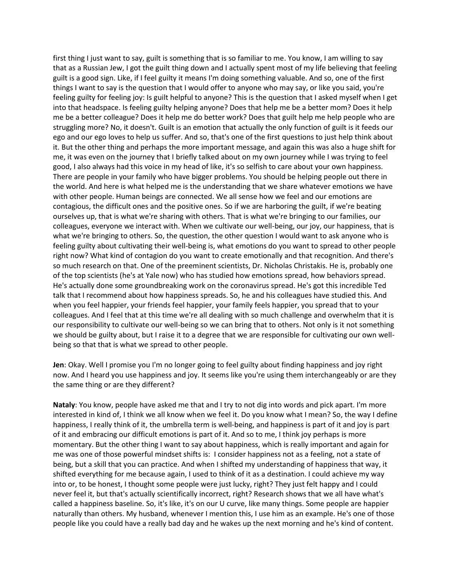first thing I just want to say, guilt is something that is so familiar to me. You know, I am willing to say that as a Russian Jew, I got the guilt thing down and I actually spent most of my life believing that feeling guilt is a good sign. Like, if I feel guilty it means I'm doing something valuable. And so, one of the first things I want to say is the question that I would offer to anyone who may say, or like you said, you're feeling guilty for feeling joy: Is guilt helpful to anyone? This is the question that I asked myself when I get into that headspace. Is feeling guilty helping anyone? Does that help me be a better mom? Does it help me be a better colleague? Does it help me do better work? Does that guilt help me help people who are struggling more? No, it doesn't. Guilt is an emotion that actually the only function of guilt is it feeds our ego and our ego loves to help us suffer. And so, that's one of the first questions to just help think about it. But the other thing and perhaps the more important message, and again this was also a huge shift for me, it was even on the journey that I briefly talked about on my own journey while I was trying to feel good, I also always had this voice in my head of like, it's so selfish to care about your own happiness. There are people in your family who have bigger problems. You should be helping people out there in the world. And here is what helped me is the understanding that we share whatever emotions we have with other people. Human beings are connected. We all sense how we feel and our emotions are contagious, the difficult ones and the positive ones. So if we are harboring the guilt, if we're beating ourselves up, that is what we're sharing with others. That is what we're bringing to our families, our colleagues, everyone we interact with. When we cultivate our well-being, our joy, our happiness, that is what we're bringing to others. So, the question, the other question I would want to ask anyone who is feeling guilty about cultivating their well-being is, what emotions do you want to spread to other people right now? What kind of contagion do you want to create emotionally and that recognition. And there's so much research on that. One of the preeminent scientists, Dr. Nicholas Christakis. He is, probably one of the top scientists (he's at Yale now) who has studied how emotions spread, how behaviors spread. He's actually done some groundbreaking work on the coronavirus spread. He's got this incredible Ted talk that I recommend about how happiness spreads. So, he and his colleagues have studied this. And when you feel happier, your friends feel happier, your family feels happier, you spread that to your colleagues. And I feel that at this time we're all dealing with so much challenge and overwhelm that it is our responsibility to cultivate our well-being so we can bring that to others. Not only is it not something we should be guilty about, but I raise it to a degree that we are responsible for cultivating our own wellbeing so that that is what we spread to other people.

**Jen**: Okay. Well I promise you I'm no longer going to feel guilty about finding happiness and joy right now. And I heard you use happiness and joy. It seems like you're using them interchangeably or are they the same thing or are they different?

**Nataly**: You know, people have asked me that and I try to not dig into words and pick apart. I'm more interested in kind of, I think we all know when we feel it. Do you know what I mean? So, the way I define happiness, I really think of it, the umbrella term is well-being, and happiness is part of it and joy is part of it and embracing our difficult emotions is part of it. And so to me, I think joy perhaps is more momentary. But the other thing I want to say about happiness, which is really important and again for me was one of those powerful mindset shifts is: I consider happiness not as a feeling, not a state of being, but a skill that you can practice. And when I shifted my understanding of happiness that way, it shifted everything for me because again, I used to think of it as a destination. I could achieve my way into or, to be honest, I thought some people were just lucky, right? They just felt happy and I could never feel it, but that's actually scientifically incorrect, right? Research shows that we all have what's called a happiness baseline. So, it's like, it's on our U curve, like many things. Some people are happier naturally than others. My husband, whenever I mention this, I use him as an example. He's one of those people like you could have a really bad day and he wakes up the next morning and he's kind of content.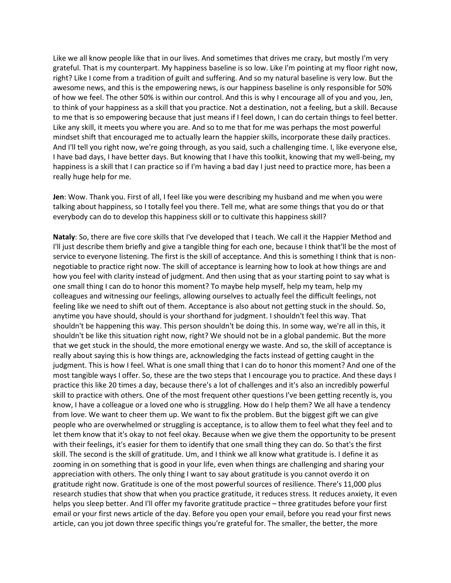Like we all know people like that in our lives. And sometimes that drives me crazy, but mostly I'm very grateful. That is my counterpart. My happiness baseline is so low. Like I'm pointing at my floor right now, right? Like I come from a tradition of guilt and suffering. And so my natural baseline is very low. But the awesome news, and this is the empowering news, is our happiness baseline is only responsible for 50% of how we feel. The other 50% is within our control. And this is why I encourage all of you and you, Jen, to think of your happiness as a skill that you practice. Not a destination, not a feeling, but a skill. Because to me that is so empowering because that just means if I feel down, I can do certain things to feel better. Like any skill, it meets you where you are. And so to me that for me was perhaps the most powerful mindset shift that encouraged me to actually learn the happier skills, incorporate these daily practices. And I'll tell you right now, we're going through, as you said, such a challenging time. I, like everyone else, I have bad days, I have better days. But knowing that I have this toolkit, knowing that my well-being, my happiness is a skill that I can practice so if I'm having a bad day I just need to practice more, has been a really huge help for me.

**Jen**: Wow. Thank you. First of all, I feel like you were describing my husband and me when you were talking about happiness, so I totally feel you there. Tell me, what are some things that you do or that everybody can do to develop this happiness skill or to cultivate this happiness skill?

**Nataly**: So, there are five core skills that I've developed that I teach. We call it the Happier Method and I'll just describe them briefly and give a tangible thing for each one, because I think that'll be the most of service to everyone listening. The first is the skill of acceptance. And this is something I think that is nonnegotiable to practice right now. The skill of acceptance is learning how to look at how things are and how you feel with clarity instead of judgment. And then using that as your starting point to say what is one small thing I can do to honor this moment? To maybe help myself, help my team, help my colleagues and witnessing our feelings, allowing ourselves to actually feel the difficult feelings, not feeling like we need to shift out of them. Acceptance is also about not getting stuck in the should. So, anytime you have should, should is your shorthand for judgment. I shouldn't feel this way. That shouldn't be happening this way. This person shouldn't be doing this. In some way, we're all in this, it shouldn't be like this situation right now, right? We should not be in a global pandemic. But the more that we get stuck in the should, the more emotional energy we waste. And so, the skill of acceptance is really about saying this is how things are, acknowledging the facts instead of getting caught in the judgment. This is how I feel. What is one small thing that I can do to honor this moment? And one of the most tangible ways I offer. So, these are the two steps that I encourage you to practice. And these days I practice this like 20 times a day, because there's a lot of challenges and it's also an incredibly powerful skill to practice with others. One of the most frequent other questions I've been getting recently is, you know, I have a colleague or a loved one who is struggling. How do I help them? We all have a tendency from love. We want to cheer them up. We want to fix the problem. But the biggest gift we can give people who are overwhelmed or struggling is acceptance, is to allow them to feel what they feel and to let them know that it's okay to not feel okay. Because when we give them the opportunity to be present with their feelings, it's easier for them to identify that one small thing they can do. So that's the first skill. The second is the skill of gratitude. Um, and I think we all know what gratitude is. I define it as zooming in on something that is good in your life, even when things are challenging and sharing your appreciation with others. The only thing I want to say about gratitude is you cannot overdo it on gratitude right now. Gratitude is one of the most powerful sources of resilience. There's 11,000 plus research studies that show that when you practice gratitude, it reduces stress. It reduces anxiety, it even helps you sleep better. And I'll offer my favorite gratitude practice – three gratitudes before your first email or your first news article of the day. Before you open your email, before you read your first news article, can you jot down three specific things you're grateful for. The smaller, the better, the more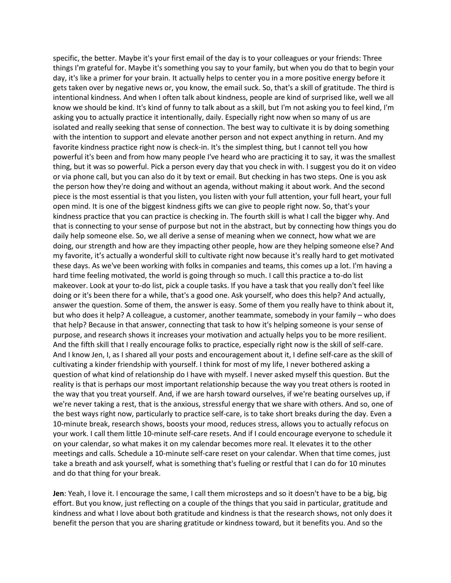specific, the better. Maybe it's your first email of the day is to your colleagues or your friends: Three things I'm grateful for. Maybe it's something you say to your family, but when you do that to begin your day, it's like a primer for your brain. It actually helps to center you in a more positive energy before it gets taken over by negative news or, you know, the email suck. So, that's a skill of gratitude. The third is intentional kindness. And when I often talk about kindness, people are kind of surprised like, well we all know we should be kind. It's kind of funny to talk about as a skill, but I'm not asking you to feel kind, I'm asking you to actually practice it intentionally, daily. Especially right now when so many of us are isolated and really seeking that sense of connection. The best way to cultivate it is by doing something with the intention to support and elevate another person and not expect anything in return. And my favorite kindness practice right now is check-in. It's the simplest thing, but I cannot tell you how powerful it's been and from how many people I've heard who are practicing it to say, it was the smallest thing, but it was so powerful. Pick a person every day that you check in with. I suggest you do it on video or via phone call, but you can also do it by text or email. But checking in has two steps. One is you ask the person how they're doing and without an agenda, without making it about work. And the second piece is the most essential is that you listen, you listen with your full attention, your full heart, your full open mind. It is one of the biggest kindness gifts we can give to people right now. So, that's your kindness practice that you can practice is checking in. The fourth skill is what I call the bigger why. And that is connecting to your sense of purpose but not in the abstract, but by connecting how things you do daily help someone else. So, we all derive a sense of meaning when we connect, how what we are doing, our strength and how are they impacting other people, how are they helping someone else? And my favorite, it's actually a wonderful skill to cultivate right now because it's really hard to get motivated these days. As we've been working with folks in companies and teams, this comes up a lot. I'm having a hard time feeling motivated, the world is going through so much. I call this practice a to-do list makeover. Look at your to-do list, pick a couple tasks. If you have a task that you really don't feel like doing or it's been there for a while, that's a good one. Ask yourself, who does this help? And actually, answer the question. Some of them, the answer is easy. Some of them you really have to think about it, but who does it help? A colleague, a customer, another teammate, somebody in your family – who does that help? Because in that answer, connecting that task to how it's helping someone is your sense of purpose, and research shows it increases your motivation and actually helps you to be more resilient. And the fifth skill that I really encourage folks to practice, especially right now is the skill of self-care. And I know Jen, I, as I shared all your posts and encouragement about it, I define self-care as the skill of cultivating a kinder friendship with yourself. I think for most of my life, I never bothered asking a question of what kind of relationship do I have with myself. I never asked myself this question. But the reality is that is perhaps our most important relationship because the way you treat others is rooted in the way that you treat yourself. And, if we are harsh toward ourselves, if we're beating ourselves up, if we're never taking a rest, that is the anxious, stressful energy that we share with others. And so, one of the best ways right now, particularly to practice self-care, is to take short breaks during the day. Even a 10-minute break, research shows, boosts your mood, reduces stress, allows you to actually refocus on your work. I call them little 10-minute self-care resets. And if I could encourage everyone to schedule it on your calendar, so what makes it on my calendar becomes more real. It elevates it to the other meetings and calls. Schedule a 10-minute self-care reset on your calendar. When that time comes, just take a breath and ask yourself, what is something that's fueling or restful that I can do for 10 minutes and do that thing for your break.

**Jen**: Yeah, I love it. I encourage the same, I call them microsteps and so it doesn't have to be a big, big effort. But you know, just reflecting on a couple of the things that you said in particular, gratitude and kindness and what I love about both gratitude and kindness is that the research shows, not only does it benefit the person that you are sharing gratitude or kindness toward, but it benefits you. And so the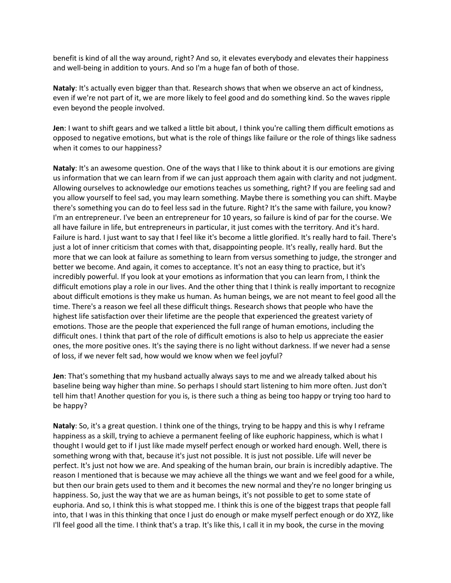benefit is kind of all the way around, right? And so, it elevates everybody and elevates their happiness and well-being in addition to yours. And so I'm a huge fan of both of those.

**Nataly**: It's actually even bigger than that. Research shows that when we observe an act of kindness, even if we're not part of it, we are more likely to feel good and do something kind. So the waves ripple even beyond the people involved.

**Jen**: I want to shift gears and we talked a little bit about, I think you're calling them difficult emotions as opposed to negative emotions, but what is the role of things like failure or the role of things like sadness when it comes to our happiness?

**Nataly**: It's an awesome question. One of the ways that I like to think about it is our emotions are giving us information that we can learn from if we can just approach them again with clarity and not judgment. Allowing ourselves to acknowledge our emotions teaches us something, right? If you are feeling sad and you allow yourself to feel sad, you may learn something. Maybe there is something you can shift. Maybe there's something you can do to feel less sad in the future. Right? It's the same with failure, you know? I'm an entrepreneur. I've been an entrepreneur for 10 years, so failure is kind of par for the course. We all have failure in life, but entrepreneurs in particular, it just comes with the territory. And it's hard. Failure is hard. I just want to say that I feel like it's become a little glorified. It's really hard to fail. There's just a lot of inner criticism that comes with that, disappointing people. It's really, really hard. But the more that we can look at failure as something to learn from versus something to judge, the stronger and better we become. And again, it comes to acceptance. It's not an easy thing to practice, but it's incredibly powerful. If you look at your emotions as information that you can learn from, I think the difficult emotions play a role in our lives. And the other thing that I think is really important to recognize about difficult emotions is they make us human. As human beings, we are not meant to feel good all the time. There's a reason we feel all these difficult things. Research shows that people who have the highest life satisfaction over their lifetime are the people that experienced the greatest variety of emotions. Those are the people that experienced the full range of human emotions, including the difficult ones. I think that part of the role of difficult emotions is also to help us appreciate the easier ones, the more positive ones. It's the saying there is no light without darkness. If we never had a sense of loss, if we never felt sad, how would we know when we feel joyful?

**Jen**: That's something that my husband actually always says to me and we already talked about his baseline being way higher than mine. So perhaps I should start listening to him more often. Just don't tell him that! Another question for you is, is there such a thing as being too happy or trying too hard to be happy?

**Nataly**: So, it's a great question. I think one of the things, trying to be happy and this is why I reframe happiness as a skill, trying to achieve a permanent feeling of like euphoric happiness, which is what I thought I would get to if I just like made myself perfect enough or worked hard enough. Well, there is something wrong with that, because it's just not possible. It is just not possible. Life will never be perfect. It's just not how we are. And speaking of the human brain, our brain is incredibly adaptive. The reason I mentioned that is because we may achieve all the things we want and we feel good for a while, but then our brain gets used to them and it becomes the new normal and they're no longer bringing us happiness. So, just the way that we are as human beings, it's not possible to get to some state of euphoria. And so, I think this is what stopped me. I think this is one of the biggest traps that people fall into, that I was in this thinking that once I just do enough or make myself perfect enough or do XYZ, like I'll feel good all the time. I think that's a trap. It's like this, I call it in my book, the curse in the moving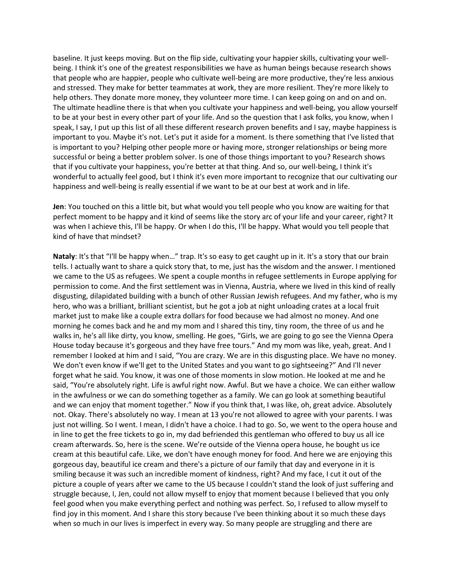baseline. It just keeps moving. But on the flip side, cultivating your happier skills, cultivating your wellbeing. I think it's one of the greatest responsibilities we have as human beings because research shows that people who are happier, people who cultivate well-being are more productive, they're less anxious and stressed. They make for better teammates at work, they are more resilient. They're more likely to help others. They donate more money, they volunteer more time. I can keep going on and on and on. The ultimate headline there is that when you cultivate your happiness and well-being, you allow yourself to be at your best in every other part of your life. And so the question that I ask folks, you know, when I speak, I say, I put up this list of all these different research proven benefits and I say, maybe happiness is important to you. Maybe it's not. Let's put it aside for a moment. Is there something that I've listed that is important to you? Helping other people more or having more, stronger relationships or being more successful or being a better problem solver. Is one of those things important to you? Research shows that if you cultivate your happiness, you're better at that thing. And so, our well-being, I think it's wonderful to actually feel good, but I think it's even more important to recognize that our cultivating our happiness and well-being is really essential if we want to be at our best at work and in life.

**Jen**: You touched on this a little bit, but what would you tell people who you know are waiting for that perfect moment to be happy and it kind of seems like the story arc of your life and your career, right? It was when I achieve this, I'll be happy. Or when I do this, I'll be happy. What would you tell people that kind of have that mindset?

**Nataly**: It's that "I'll be happy when…" trap. It's so easy to get caught up in it. It's a story that our brain tells. I actually want to share a quick story that, to me, just has the wisdom and the answer. I mentioned we came to the US as refugees. We spent a couple months in refugee settlements in Europe applying for permission to come. And the first settlement was in Vienna, Austria, where we lived in this kind of really disgusting, dilapidated building with a bunch of other Russian Jewish refugees. And my father, who is my hero, who was a brilliant, brilliant scientist, but he got a job at night unloading crates at a local fruit market just to make like a couple extra dollars for food because we had almost no money. And one morning he comes back and he and my mom and I shared this tiny, tiny room, the three of us and he walks in, he's all like dirty, you know, smelling. He goes, "Girls, we are going to go see the Vienna Opera House today because it's gorgeous and they have free tours." And my mom was like, yeah, great. And I remember I looked at him and I said, "You are crazy. We are in this disgusting place. We have no money. We don't even know if we'll get to the United States and you want to go sightseeing?" And I'll never forget what he said. You know, it was one of those moments in slow motion. He looked at me and he said, "You're absolutely right. Life is awful right now. Awful. But we have a choice. We can either wallow in the awfulness or we can do something together as a family. We can go look at something beautiful and we can enjoy that moment together." Now if you think that, I was like, oh, great advice. Absolutely not. Okay. There's absolutely no way. I mean at 13 you're not allowed to agree with your parents. I was just not willing. So I went. I mean, I didn't have a choice. I had to go. So, we went to the opera house and in line to get the free tickets to go in, my dad befriended this gentleman who offered to buy us all ice cream afterwards. So, here is the scene. We're outside of the Vienna opera house, he bought us ice cream at this beautiful cafe. Like, we don't have enough money for food. And here we are enjoying this gorgeous day, beautiful ice cream and there's a picture of our family that day and everyone in it is smiling because it was such an incredible moment of kindness, right? And my face, I cut it out of the picture a couple of years after we came to the US because I couldn't stand the look of just suffering and struggle because, I, Jen, could not allow myself to enjoy that moment because I believed that you only feel good when you make everything perfect and nothing was perfect. So, I refused to allow myself to find joy in this moment. And I share this story because I've been thinking about it so much these days when so much in our lives is imperfect in every way. So many people are struggling and there are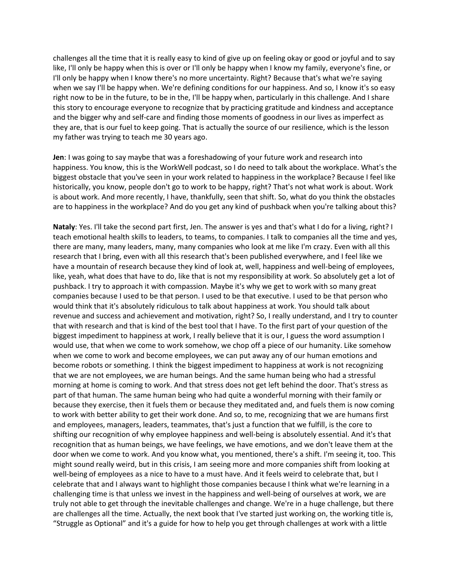challenges all the time that it is really easy to kind of give up on feeling okay or good or joyful and to say like, I'll only be happy when this is over or I'll only be happy when I know my family, everyone's fine, or I'll only be happy when I know there's no more uncertainty. Right? Because that's what we're saying when we say I'll be happy when. We're defining conditions for our happiness. And so, I know it's so easy right now to be in the future, to be in the, I'll be happy when, particularly in this challenge. And I share this story to encourage everyone to recognize that by practicing gratitude and kindness and acceptance and the bigger why and self-care and finding those moments of goodness in our lives as imperfect as they are, that is our fuel to keep going. That is actually the source of our resilience, which is the lesson my father was trying to teach me 30 years ago.

**Jen**: I was going to say maybe that was a foreshadowing of your future work and research into happiness. You know, this is the WorkWell podcast, so I do need to talk about the workplace. What's the biggest obstacle that you've seen in your work related to happiness in the workplace? Because I feel like historically, you know, people don't go to work to be happy, right? That's not what work is about. Work is about work. And more recently, I have, thankfully, seen that shift. So, what do you think the obstacles are to happiness in the workplace? And do you get any kind of pushback when you're talking about this?

**Nataly**: Yes. I'll take the second part first, Jen. The answer is yes and that's what I do for a living, right? I teach emotional health skills to leaders, to teams, to companies. I talk to companies all the time and yes, there are many, many leaders, many, many companies who look at me like I'm crazy. Even with all this research that I bring, even with all this research that's been published everywhere, and I feel like we have a mountain of research because they kind of look at, well, happiness and well-being of employees, like, yeah, what does that have to do, like that is not my responsibility at work. So absolutely get a lot of pushback. I try to approach it with compassion. Maybe it's why we get to work with so many great companies because I used to be that person. I used to be that executive. I used to be that person who would think that it's absolutely ridiculous to talk about happiness at work. You should talk about revenue and success and achievement and motivation, right? So, I really understand, and I try to counter that with research and that is kind of the best tool that I have. To the first part of your question of the biggest impediment to happiness at work, I really believe that it is our, I guess the word assumption I would use, that when we come to work somehow, we chop off a piece of our humanity. Like somehow when we come to work and become employees, we can put away any of our human emotions and become robots or something. I think the biggest impediment to happiness at work is not recognizing that we are not employees, we are human beings. And the same human being who had a stressful morning at home is coming to work. And that stress does not get left behind the door. That's stress as part of that human. The same human being who had quite a wonderful morning with their family or because they exercise, then it fuels them or because they meditated and, and fuels them is now coming to work with better ability to get their work done. And so, to me, recognizing that we are humans first and employees, managers, leaders, teammates, that's just a function that we fulfill, is the core to shifting our recognition of why employee happiness and well-being is absolutely essential. And it's that recognition that as human beings, we have feelings, we have emotions, and we don't leave them at the door when we come to work. And you know what, you mentioned, there's a shift. I'm seeing it, too. This might sound really weird, but in this crisis, I am seeing more and more companies shift from looking at well-being of employees as a nice to have to a must have. And it feels weird to celebrate that, but I celebrate that and I always want to highlight those companies because I think what we're learning in a challenging time is that unless we invest in the happiness and well-being of ourselves at work, we are truly not able to get through the inevitable challenges and change. We're in a huge challenge, but there are challenges all the time. Actually, the next book that I've started just working on, the working title is, "Struggle as Optional" and it's a guide for how to help you get through challenges at work with a little